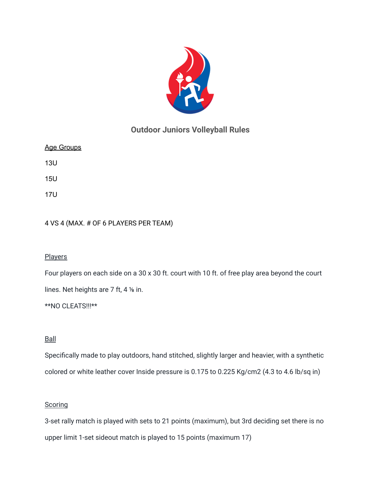

# **Outdoor Juniors Volleyball Rules**

| <u>Age Groups</u> |  |
|-------------------|--|
|-------------------|--|

13U

15U

17U

## 4 VS 4 (MAX. # OF 6 PLAYERS PER TEAM)

#### **Players**

Four players on each side on a 30 x 30 ft. court with 10 ft. of free play area beyond the court

lines. Net heights are 7 ft, 4 ⅛ in.

\*\*NO CLEATS!!!\*\*

## **Ball**

Specifically made to play outdoors, hand stitched, slightly larger and heavier, with a synthetic colored or white leather cover Inside pressure is 0.175 to 0.225 Kg/cm2 (4.3 to 4.6 lb/sq in)

#### **Scoring**

3-set rally match is played with sets to 21 points (maximum), but 3rd deciding set there is no upper limit 1-set sideout match is played to 15 points (maximum 17)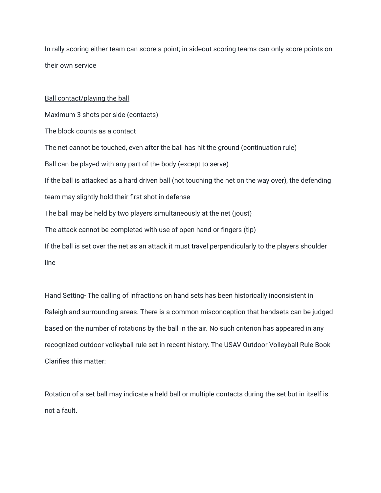In rally scoring either team can score a point; in sideout scoring teams can only score points on their own service

# Ball contact/playing the ball Maximum 3 shots per side (contacts) The block counts as a contact The net cannot be touched, even after the ball has hit the ground (continuation rule) Ball can be played with any part of the body (except to serve) If the ball is attacked as a hard driven ball (not touching the net on the way over), the defending team may slightly hold their first shot in defense The ball may be held by two players simultaneously at the net (joust) The attack cannot be completed with use of open hand or fingers (tip) If the ball is set over the net as an attack it must travel perpendicularly to the players shoulder line

Hand Setting- The calling of infractions on hand sets has been historically inconsistent in Raleigh and surrounding areas. There is a common misconception that handsets can be judged based on the number of rotations by the ball in the air. No such criterion has appeared in any recognized outdoor volleyball rule set in recent history. The USAV Outdoor Volleyball Rule Book Clarifies this matter:

Rotation of a set ball may indicate a held ball or multiple contacts during the set but in itself is not a fault.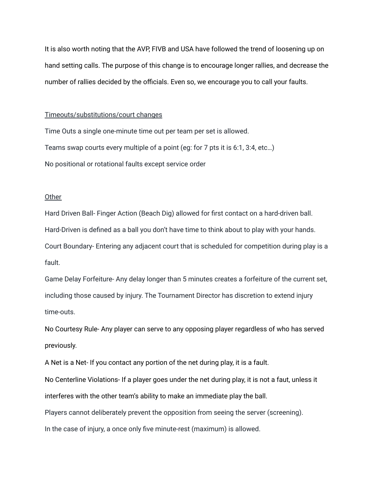It is also worth noting that the AVP, FIVB and USA have followed the trend of loosening up on hand setting calls. The purpose of this change is to encourage longer rallies, and decrease the number of rallies decided by the officials. Even so, we encourage you to call your faults.

#### Timeouts/substitutions/court changes

Time Outs a single one-minute time out per team per set is allowed. Teams swap courts every multiple of a point (eg: for 7 pts it is 6:1, 3:4, etc…) No positional or rotational faults except service order

#### **Other**

Hard Driven Ball- Finger Action (Beach Dig) allowed for first contact on a hard-driven ball. Hard-Driven is defined as a ball you don't have time to think about to play with your hands. Court Boundary- Entering any adjacent court that is scheduled for competition during play is a fault.

Game Delay Forfeiture- Any delay longer than 5 minutes creates a forfeiture of the current set, including those caused by injury. The Tournament Director has discretion to extend injury time-outs.

No Courtesy Rule- Any player can serve to any opposing player regardless of who has served previously.

A Net is a Net- If you contact any portion of the net during play, it is a fault.

No Centerline Violations- If a player goes under the net during play, it is not a faut, unless it interferes with the other team's ability to make an immediate play the ball.

Players cannot deliberately prevent the opposition from seeing the server (screening).

In the case of injury, a once only five minute-rest (maximum) is allowed.